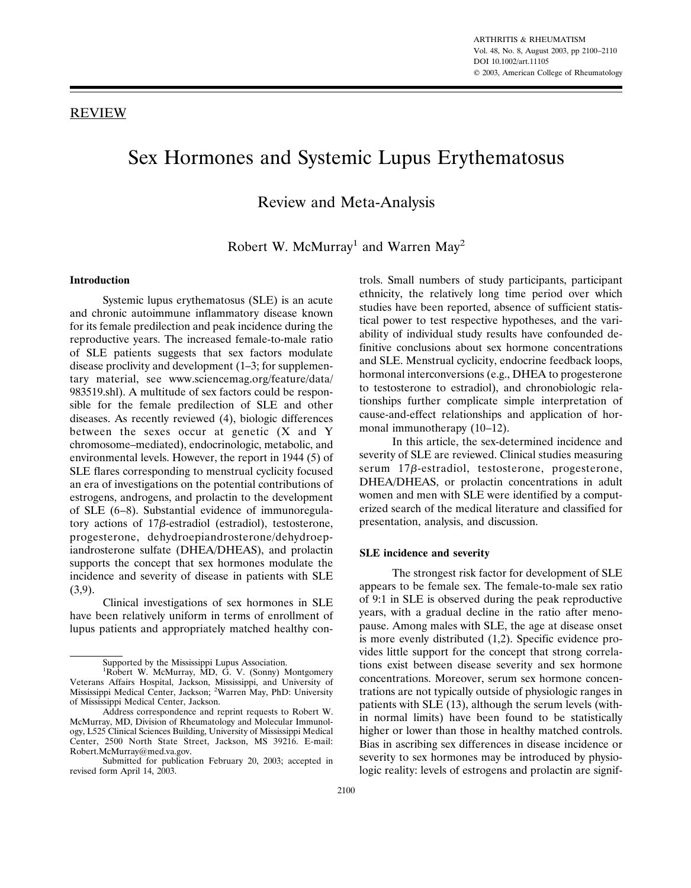# Sex Hormones and Systemic Lupus Erythematosus

Review and Meta-Analysis

Robert W. McMurray<sup>1</sup> and Warren May<sup>2</sup>

## **Introduction**

Systemic lupus erythematosus (SLE) is an acute and chronic autoimmune inflammatory disease known for its female predilection and peak incidence during the reproductive years. The increased female-to-male ratio of SLE patients suggests that sex factors modulate disease proclivity and development (1–3; for supplementary material, see www.sciencemag.org/feature/data/ 983519.shl). A multitude of sex factors could be responsible for the female predilection of SLE and other diseases. As recently reviewed (4), biologic differences between the sexes occur at genetic (X and Y chromosome–mediated), endocrinologic, metabolic, and environmental levels. However, the report in 1944 (5) of SLE flares corresponding to menstrual cyclicity focused an era of investigations on the potential contributions of estrogens, androgens, and prolactin to the development of SLE (6–8). Substantial evidence of immunoregulatory actions of  $17\beta$ -estradiol (estradiol), testosterone, progesterone, dehydroepiandrosterone/dehydroepiandrosterone sulfate (DHEA/DHEAS), and prolactin supports the concept that sex hormones modulate the incidence and severity of disease in patients with SLE (3,9).

Clinical investigations of sex hormones in SLE have been relatively uniform in terms of enrollment of lupus patients and appropriately matched healthy controls. Small numbers of study participants, participant ethnicity, the relatively long time period over which studies have been reported, absence of sufficient statistical power to test respective hypotheses, and the variability of individual study results have confounded definitive conclusions about sex hormone concentrations and SLE. Menstrual cyclicity, endocrine feedback loops, hormonal interconversions (e.g., DHEA to progesterone to testosterone to estradiol), and chronobiologic relationships further complicate simple interpretation of cause-and-effect relationships and application of hormonal immunotherapy (10–12).

In this article, the sex-determined incidence and severity of SLE are reviewed. Clinical studies measuring serum  $17\beta$ -estradiol, testosterone, progesterone, DHEA/DHEAS, or prolactin concentrations in adult women and men with SLE were identified by a computerized search of the medical literature and classified for presentation, analysis, and discussion.

## **SLE incidence and severity**

The strongest risk factor for development of SLE appears to be female sex. The female-to-male sex ratio of 9:1 in SLE is observed during the peak reproductive years, with a gradual decline in the ratio after menopause. Among males with SLE, the age at disease onset is more evenly distributed (1,2). Specific evidence provides little support for the concept that strong correlations exist between disease severity and sex hormone concentrations. Moreover, serum sex hormone concentrations are not typically outside of physiologic ranges in patients with SLE (13), although the serum levels (within normal limits) have been found to be statistically higher or lower than those in healthy matched controls. Bias in ascribing sex differences in disease incidence or severity to sex hormones may be introduced by physiologic reality: levels of estrogens and prolactin are signif-

Supported by the Mississippi Lupus Association.

<sup>&</sup>lt;sup>1</sup>Robert W. McMurray, MD, G. V. (Sonny) Montgomery Veterans Affairs Hospital, Jackson, Mississippi, and University of Mississippi Medical Center, Jackson; <sup>2</sup> Warren May, PhD: University of Mississippi Medical Center, Jackson.

Address correspondence and reprint requests to Robert W. McMurray, MD, Division of Rheumatology and Molecular Immunology, L525 Clinical Sciences Building, University of Mississippi Medical Center, 2500 North State Street, Jackson, MS 39216. E-mail: Robert.McMurray@med.va.gov.

Submitted for publication February 20, 2003; accepted in revised form April 14, 2003.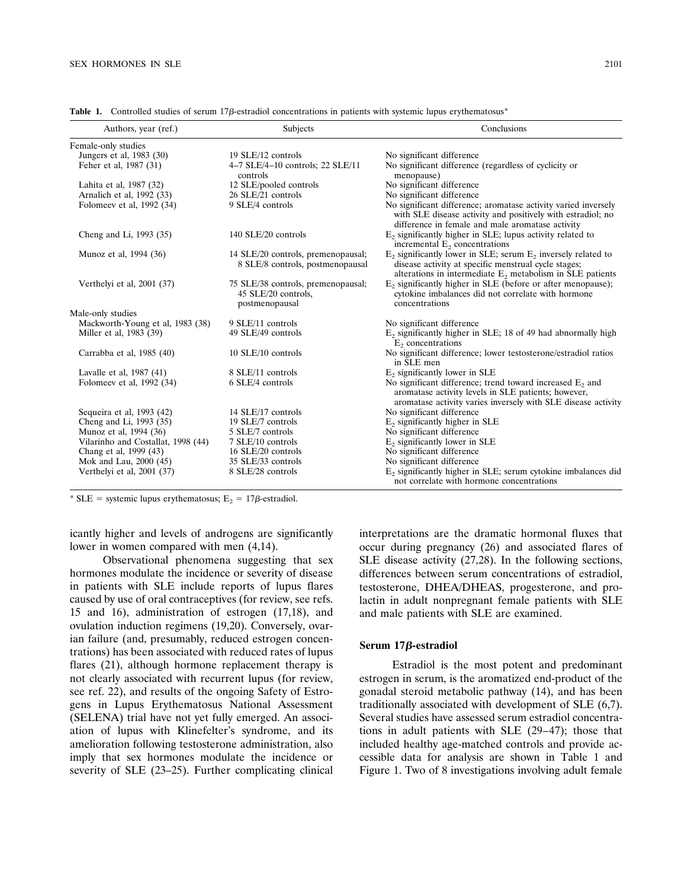| Authors, year (ref.)               | Subjects                                                                    | Conclusions                                                                                                                                                                               |
|------------------------------------|-----------------------------------------------------------------------------|-------------------------------------------------------------------------------------------------------------------------------------------------------------------------------------------|
| Female-only studies                |                                                                             |                                                                                                                                                                                           |
| Jungers et al, 1983 (30)           | 19 SLE/12 controls                                                          | No significant difference                                                                                                                                                                 |
| Feher et al, 1987 (31)             | 4-7 SLE/4-10 controls; 22 SLE/11<br>controls                                | No significant difference (regardless of cyclicity or<br>menopause)                                                                                                                       |
| Lahita et al, 1987 (32)            | 12 SLE/pooled controls                                                      | No significant difference                                                                                                                                                                 |
| Arnalich et al, 1992 (33)          | 26 SLE/21 controls                                                          | No significant difference                                                                                                                                                                 |
| Folomeev et al, 1992 (34)          | 9 SLE/4 controls                                                            | No significant difference; aromatase activity varied inversely<br>with SLE disease activity and positively with estradiol; no<br>difference in female and male aromatase activity         |
| Cheng and Li, 1993 (35)            | 140 SLE/20 controls                                                         | $E_2$ significantly higher in SLE; lupus activity related to<br>incremental $E_2$ concentrations                                                                                          |
| Munoz et al, 1994 (36)             | 14 SLE/20 controls, premenopausal;<br>8 SLE/8 controls, postmenopausal      | $E_2$ significantly lower in SLE; serum $E_2$ inversely related to<br>disease activity at specific menstrual cycle stages;<br>alterations in intermediate $E2$ metabolism in SLE patients |
| Verthelyi et al, 2001 (37)         | 75 SLE/38 controls, premenopausal;<br>45 SLE/20 controls,<br>postmenopausal | $E_2$ significantly higher in SLE (before or after menopause);<br>cytokine imbalances did not correlate with hormone<br>concentrations                                                    |
| Male-only studies                  |                                                                             |                                                                                                                                                                                           |
| Mackworth-Young et al, 1983 (38)   | 9 SLE/11 controls                                                           | No significant difference                                                                                                                                                                 |
| Miller et al, 1983 (39)            | 49 SLE/49 controls                                                          | $E_2$ significantly higher in SLE; 18 of 49 had abnormally high<br>$E2$ concentrations                                                                                                    |
| Carrabba et al, 1985 (40)          | 10 SLE/10 controls                                                          | No significant difference; lower testosterone/estradiol ratios<br>in SLE men                                                                                                              |
| Lavalle et al, 1987 (41)           | 8 SLE/11 controls                                                           | $E2$ significantly lower in SLE                                                                                                                                                           |
| Folomeev et al, 1992 (34)          | 6 SLE/4 controls                                                            | No significant difference; trend toward increased $E_2$ and<br>aromatase activity levels in SLE patients; however,<br>aromatase activity varies inversely with SLE disease activity       |
| Sequeira et al, 1993 (42)          | 14 SLE/17 controls                                                          | No significant difference                                                                                                                                                                 |
| Cheng and Li, 1993 (35)            | 19 SLE/7 controls                                                           | $E2$ significantly higher in SLE                                                                                                                                                          |
| Munoz et al, 1994 (36)             | 5 SLE/7 controls                                                            | No significant difference                                                                                                                                                                 |
| Vilarinho and Costallat, 1998 (44) | 7 SLE/10 controls                                                           | $E_2$ significantly lower in SLE                                                                                                                                                          |
| Chang et al, 1999 (43)             | 16 SLE/20 controls                                                          | No significant difference                                                                                                                                                                 |
| Mok and Lau, 2000 (45)             | 35 SLE/33 controls                                                          | No significant difference                                                                                                                                                                 |
| Verthelyi et al, 2001 (37)         | 8 SLE/28 controls                                                           | $E2$ significantly higher in SLE; serum cytokine imbalances did<br>not correlate with hormone concentrations                                                                              |

Table 1. Controlled studies of serum 17 $\beta$ -estradiol concentrations in patients with systemic lupus erythematosus<sup>\*</sup>

\* SLE = systemic lupus erythematosus; E<sub>2</sub> =  $17\beta$ -estradiol.

icantly higher and levels of androgens are significantly lower in women compared with men (4,14).

Observational phenomena suggesting that sex hormones modulate the incidence or severity of disease in patients with SLE include reports of lupus flares caused by use of oral contraceptives (for review, see refs. 15 and 16), administration of estrogen (17,18), and ovulation induction regimens (19,20). Conversely, ovarian failure (and, presumably, reduced estrogen concentrations) has been associated with reduced rates of lupus flares (21), although hormone replacement therapy is not clearly associated with recurrent lupus (for review, see ref. 22), and results of the ongoing Safety of Estrogens in Lupus Erythematosus National Assessment (SELENA) trial have not yet fully emerged. An association of lupus with Klinefelter's syndrome, and its amelioration following testosterone administration, also imply that sex hormones modulate the incidence or severity of SLE (23–25). Further complicating clinical interpretations are the dramatic hormonal fluxes that occur during pregnancy (26) and associated flares of SLE disease activity (27,28). In the following sections, differences between serum concentrations of estradiol, testosterone, DHEA/DHEAS, progesterone, and prolactin in adult nonpregnant female patients with SLE and male patients with SLE are examined.

### **Serum 17β-estradiol**

Estradiol is the most potent and predominant estrogen in serum, is the aromatized end-product of the gonadal steroid metabolic pathway (14), and has been traditionally associated with development of SLE (6,7). Several studies have assessed serum estradiol concentrations in adult patients with SLE (29–47); those that included healthy age-matched controls and provide accessible data for analysis are shown in Table 1 and Figure 1. Two of 8 investigations involving adult female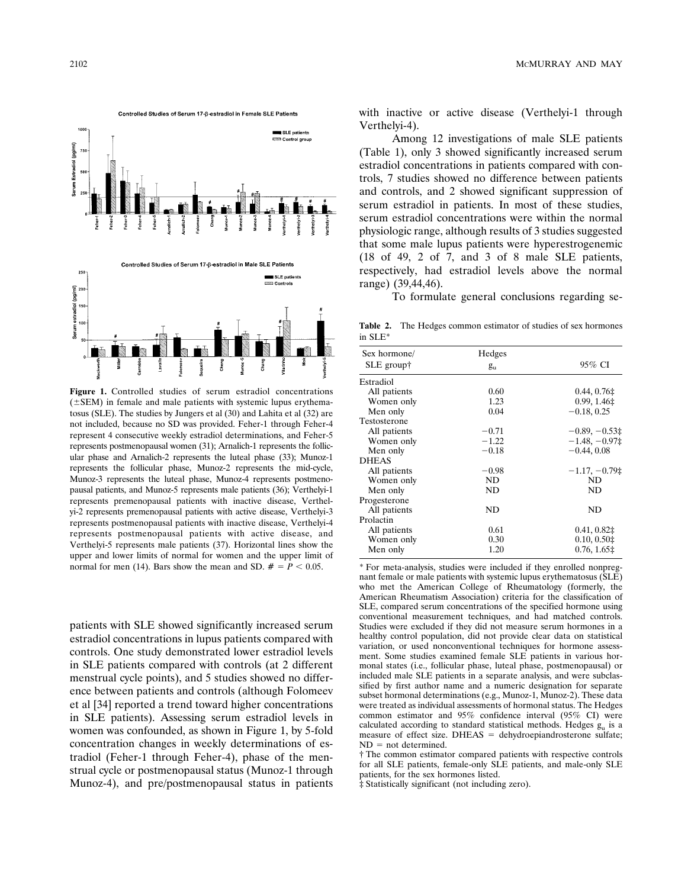

**Figure 1.** Controlled studies of serum estradiol concentrations  $(\pm$ SEM) in female and male patients with systemic lupus erythematosus (SLE). The studies by Jungers et al (30) and Lahita et al (32) are not included, because no SD was provided. Feher-1 through Feher-4 represent 4 consecutive weekly estradiol determinations, and Feher-5 represents postmenopausal women (31); Arnalich-1 represents the follicular phase and Arnalich-2 represents the luteal phase (33); Munoz-1 represents the follicular phase, Munoz-2 represents the mid-cycle, Munoz-3 represents the luteal phase, Munoz-4 represents postmenopausal patients, and Munoz-5 represents male patients (36); Verthelyi-1 represents premenopausal patients with inactive disease, Verthelyi-2 represents premenopausal patients with active disease, Verthelyi-3 represents postmenopausal patients with inactive disease, Verthelyi-4 represents postmenopausal patients with active disease, and Verthelyi-5 represents male patients (37). Horizontal lines show the upper and lower limits of normal for women and the upper limit of normal for men (14). Bars show the mean and SD.  $# = P < 0.05$ .

patients with SLE showed significantly increased serum estradiol concentrations in lupus patients compared with controls. One study demonstrated lower estradiol levels in SLE patients compared with controls (at 2 different menstrual cycle points), and 5 studies showed no difference between patients and controls (although Folomeev et al [34] reported a trend toward higher concentrations in SLE patients). Assessing serum estradiol levels in women was confounded, as shown in Figure 1, by 5-fold concentration changes in weekly determinations of estradiol (Feher-1 through Feher-4), phase of the menstrual cycle or postmenopausal status (Munoz-1 through Munoz-4), and pre/postmenopausal status in patients

2102 MCMURRAY AND MAY

with inactive or active disease (Verthelyi-1 through Verthelyi-4).

Among 12 investigations of male SLE patients (Table 1), only 3 showed significantly increased serum estradiol concentrations in patients compared with controls, 7 studies showed no difference between patients and controls, and 2 showed significant suppression of serum estradiol in patients. In most of these studies, serum estradiol concentrations were within the normal physiologic range, although results of 3 studies suggested that some male lupus patients were hyperestrogenemic (18 of 49, 2 of 7, and 3 of 8 male SLE patients, respectively, had estradiol levels above the normal range) (39,44,46).

To formulate general conclusions regarding se-

**Table 2.** The Hedges common estimator of studies of sex hormones in SLE\*

| Hedges      |                |
|-------------|----------------|
| $g_{\rm u}$ | 95% CI         |
|             |                |
| 0.60        | 0.44, 0.76     |
| 1.23        | 0.99, 1.46‡    |
| 0.04        | $-0.18, 0.25$  |
|             |                |
| $-0.71$     | $-0.89, -0.53$ |
| $-1.22$     | $-1.48, -0.97$ |
| $-0.18$     | $-0.44, 0.08$  |
|             |                |
| $-0.98$     | $-1.17, -0.79$ |
| ND.         | ND.            |
| ND.         | ND.            |
|             |                |
| ND          | ND.            |
|             |                |
| 0.61        | $0.41, 0.82$ ‡ |
| 0.30        | 0.10, 0.50     |
| 1.20        | 0.76, 1.65     |
|             |                |

\* For meta-analysis, studies were included if they enrolled nonpregnant female or male patients with systemic lupus erythematosus (SLE) who met the American College of Rheumatology (formerly, the American Rheumatism Association) criteria for the classification of SLE, compared serum concentrations of the specified hormone using conventional measurement techniques, and had matched controls. Studies were excluded if they did not measure serum hormones in a healthy control population, did not provide clear data on statistical variation, or used nonconventional techniques for hormone assessment. Some studies examined female SLE patients in various hormonal states (i.e., follicular phase, luteal phase, postmenopausal) or included male SLE patients in a separate analysis, and were subclassified by first author name and a numeric designation for separate subset hormonal determinations (e.g., Munoz-1, Munoz-2). These data were treated as individual assessments of hormonal status. The Hedges common estimator and 95% confidence interval (95% CI) were calculated according to standard statistical methods. Hedges  $g_{\mu}$  is a measure of effect size. DHEAS  $=$  dehydroepiandrosterone sulfate;  $ND = not determined$ .

† The common estimator compared patients with respective controls for all SLE patients, female-only SLE patients, and male-only SLE patients, for the sex hormones listed.

‡ Statistically significant (not including zero).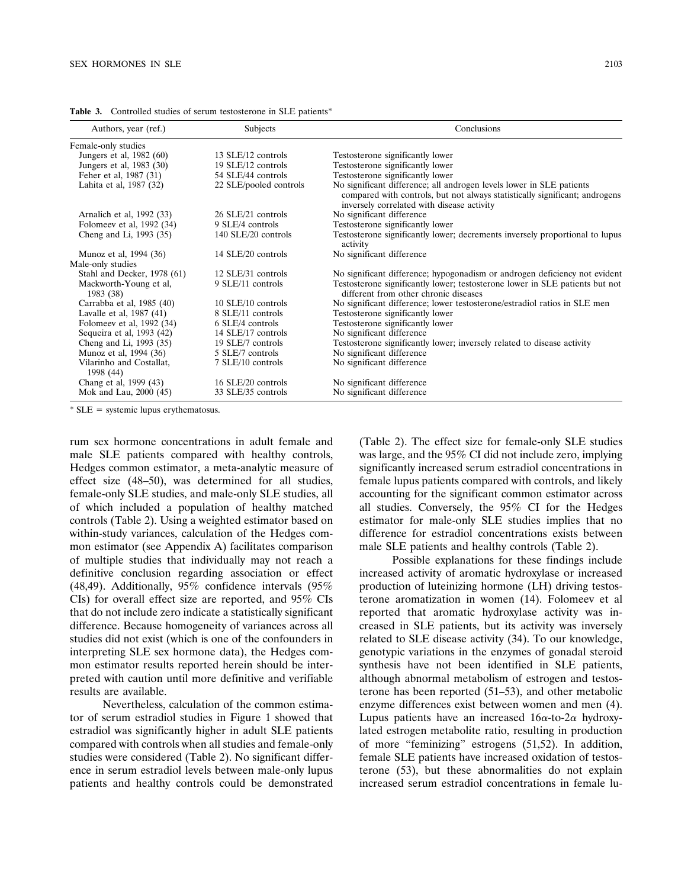| Authors, year (ref.)                  | Subjects               | Conclusions                                                                                                                                                                                       |
|---------------------------------------|------------------------|---------------------------------------------------------------------------------------------------------------------------------------------------------------------------------------------------|
| Female-only studies                   |                        |                                                                                                                                                                                                   |
| Jungers et al, 1982 (60)              | 13 SLE/12 controls     | Testosterone significantly lower                                                                                                                                                                  |
| Jungers et al, 1983 (30)              | 19 SLE/12 controls     | Testosterone significantly lower                                                                                                                                                                  |
| Feher et al, 1987 (31)                | 54 SLE/44 controls     | Testosterone significantly lower                                                                                                                                                                  |
| Lahita et al, 1987 (32)               | 22 SLE/pooled controls | No significant difference; all androgen levels lower in SLE patients<br>compared with controls, but not always statistically significant; androgens<br>inversely correlated with disease activity |
| Arnalich et al, 1992 (33)             | 26 SLE/21 controls     | No significant difference                                                                                                                                                                         |
| Folomeev et al, 1992 (34)             | 9 SLE/4 controls       | Testosterone significantly lower                                                                                                                                                                  |
| Cheng and Li, 1993 (35)               | 140 SLE/20 controls    | Testosterone significantly lower; decrements inversely proportional to lupus<br>activity                                                                                                          |
| Munoz et al, 1994 (36)                | 14 SLE/20 controls     | No significant difference                                                                                                                                                                         |
| Male-only studies                     |                        |                                                                                                                                                                                                   |
| Stahl and Decker, 1978 (61)           | 12 SLE/31 controls     | No significant difference; hypogonadism or androgen deficiency not evident                                                                                                                        |
| Mackworth-Young et al,<br>1983 (38)   | 9 SLE/11 controls      | Testosterone significantly lower; testosterone lower in SLE patients but not<br>different from other chronic diseases                                                                             |
| Carrabba et al, 1985 (40)             | 10 SLE/10 controls     | No significant difference; lower testosterone/estradiol ratios in SLE men                                                                                                                         |
| Lavalle et al, 1987 (41)              | 8 SLE/11 controls      | Testosterone significantly lower                                                                                                                                                                  |
| Folomeev et al, 1992 (34)             | 6 SLE/4 controls       | Testosterone significantly lower                                                                                                                                                                  |
| Sequeira et al, 1993 (42)             | 14 SLE/17 controls     | No significant difference                                                                                                                                                                         |
| Cheng and Li, 1993 (35)               | 19 SLE/7 controls      | Testosterone significantly lower; inversely related to disease activity                                                                                                                           |
| Munoz et al, 1994 (36)                | 5 SLE/7 controls       | No significant difference                                                                                                                                                                         |
| Vilarinho and Costallat,<br>1998 (44) | 7 SLE/10 controls      | No significant difference                                                                                                                                                                         |
| Chang et al, 1999 (43)                | 16 SLE/20 controls     | No significant difference                                                                                                                                                                         |
| Mok and Lau, 2000 (45)                | 33 SLE/35 controls     | No significant difference                                                                                                                                                                         |

Table 3. Controlled studies of serum testosterone in SLE patients\*

 $*$  SLE = systemic lupus erythematosus.

rum sex hormone concentrations in adult female and male SLE patients compared with healthy controls, Hedges common estimator, a meta-analytic measure of effect size (48–50), was determined for all studies, female-only SLE studies, and male-only SLE studies, all of which included a population of healthy matched controls (Table 2). Using a weighted estimator based on within-study variances, calculation of the Hedges common estimator (see Appendix A) facilitates comparison of multiple studies that individually may not reach a definitive conclusion regarding association or effect (48,49). Additionally, 95% confidence intervals (95% CIs) for overall effect size are reported, and 95% CIs that do not include zero indicate a statistically significant difference. Because homogeneity of variances across all studies did not exist (which is one of the confounders in interpreting SLE sex hormone data), the Hedges common estimator results reported herein should be interpreted with caution until more definitive and verifiable results are available.

Nevertheless, calculation of the common estimator of serum estradiol studies in Figure 1 showed that estradiol was significantly higher in adult SLE patients compared with controls when all studies and female-only studies were considered (Table 2). No significant difference in serum estradiol levels between male-only lupus patients and healthy controls could be demonstrated (Table 2). The effect size for female-only SLE studies was large, and the 95% CI did not include zero, implying significantly increased serum estradiol concentrations in female lupus patients compared with controls, and likely accounting for the significant common estimator across all studies. Conversely, the 95% CI for the Hedges estimator for male-only SLE studies implies that no difference for estradiol concentrations exists between male SLE patients and healthy controls (Table 2).

Possible explanations for these findings include increased activity of aromatic hydroxylase or increased production of luteinizing hormone (LH) driving testosterone aromatization in women (14). Folomeev et al reported that aromatic hydroxylase activity was increased in SLE patients, but its activity was inversely related to SLE disease activity (34). To our knowledge, genotypic variations in the enzymes of gonadal steroid synthesis have not been identified in SLE patients, although abnormal metabolism of estrogen and testosterone has been reported (51–53), and other metabolic enzyme differences exist between women and men (4). Lupus patients have an increased  $16\alpha$ -to- $2\alpha$  hydroxylated estrogen metabolite ratio, resulting in production of more "feminizing" estrogens (51,52). In addition, female SLE patients have increased oxidation of testosterone (53), but these abnormalities do not explain increased serum estradiol concentrations in female lu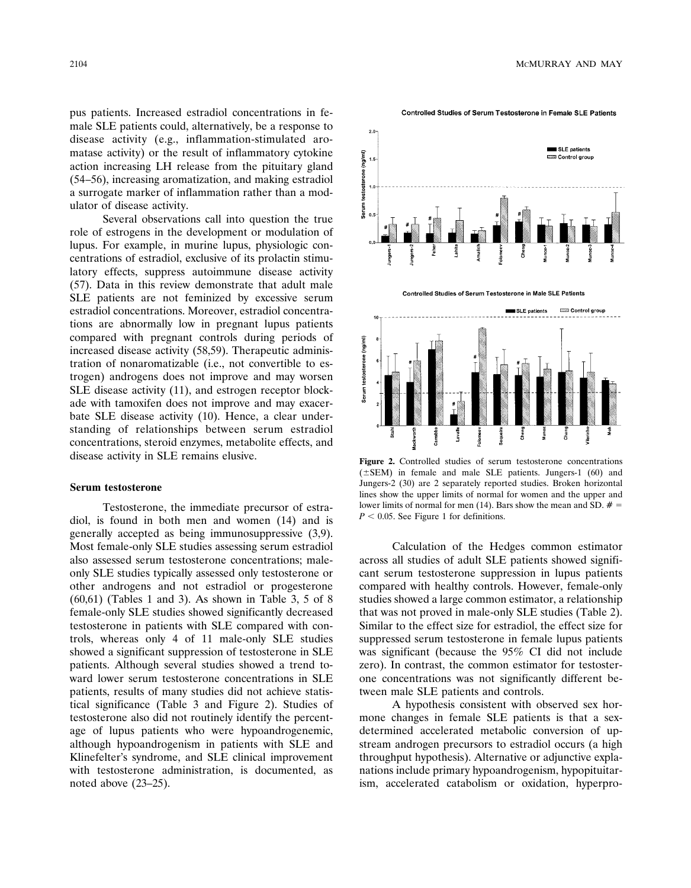pus patients. Increased estradiol concentrations in female SLE patients could, alternatively, be a response to disease activity (e.g., inflammation-stimulated aromatase activity) or the result of inflammatory cytokine action increasing LH release from the pituitary gland (54–56), increasing aromatization, and making estradiol a surrogate marker of inflammation rather than a modulator of disease activity.

Several observations call into question the true role of estrogens in the development or modulation of lupus. For example, in murine lupus, physiologic concentrations of estradiol, exclusive of its prolactin stimulatory effects, suppress autoimmune disease activity (57). Data in this review demonstrate that adult male SLE patients are not feminized by excessive serum estradiol concentrations. Moreover, estradiol concentrations are abnormally low in pregnant lupus patients compared with pregnant controls during periods of increased disease activity (58,59). Therapeutic administration of nonaromatizable (i.e., not convertible to estrogen) androgens does not improve and may worsen SLE disease activity (11), and estrogen receptor blockade with tamoxifen does not improve and may exacerbate SLE disease activity (10). Hence, a clear understanding of relationships between serum estradiol concentrations, steroid enzymes, metabolite effects, and disease activity in SLE remains elusive.

#### **Serum testosterone**

Testosterone, the immediate precursor of estradiol, is found in both men and women (14) and is generally accepted as being immunosuppressive (3,9). Most female-only SLE studies assessing serum estradiol also assessed serum testosterone concentrations; maleonly SLE studies typically assessed only testosterone or other androgens and not estradiol or progesterone (60,61) (Tables 1 and 3). As shown in Table 3, 5 of 8 female-only SLE studies showed significantly decreased testosterone in patients with SLE compared with controls, whereas only 4 of 11 male-only SLE studies showed a significant suppression of testosterone in SLE patients. Although several studies showed a trend toward lower serum testosterone concentrations in SLE patients, results of many studies did not achieve statistical significance (Table 3 and Figure 2). Studies of testosterone also did not routinely identify the percentage of lupus patients who were hypoandrogenemic, although hypoandrogenism in patients with SLE and Klinefelter's syndrome, and SLE clinical improvement with testosterone administration, is documented, as noted above (23–25).



Controlled Studies of Serum Testosterone in Female SLE Patients

**Figure 2.** Controlled studies of serum testosterone concentrations  $(\pm$ SEM) in female and male SLE patients. Jungers-1 (60) and Jungers-2 (30) are 2 separately reported studies. Broken horizontal lines show the upper limits of normal for women and the upper and lower limits of normal for men (14). Bars show the mean and SD.  $# =$  $P < 0.05$ . See Figure 1 for definitions.

Calculation of the Hedges common estimator across all studies of adult SLE patients showed significant serum testosterone suppression in lupus patients compared with healthy controls. However, female-only studies showed a large common estimator, a relationship that was not proved in male-only SLE studies (Table 2). Similar to the effect size for estradiol, the effect size for suppressed serum testosterone in female lupus patients was significant (because the 95% CI did not include zero). In contrast, the common estimator for testosterone concentrations was not significantly different between male SLE patients and controls.

A hypothesis consistent with observed sex hormone changes in female SLE patients is that a sexdetermined accelerated metabolic conversion of upstream androgen precursors to estradiol occurs (a high throughput hypothesis). Alternative or adjunctive explanations include primary hypoandrogenism, hypopituitarism, accelerated catabolism or oxidation, hyperpro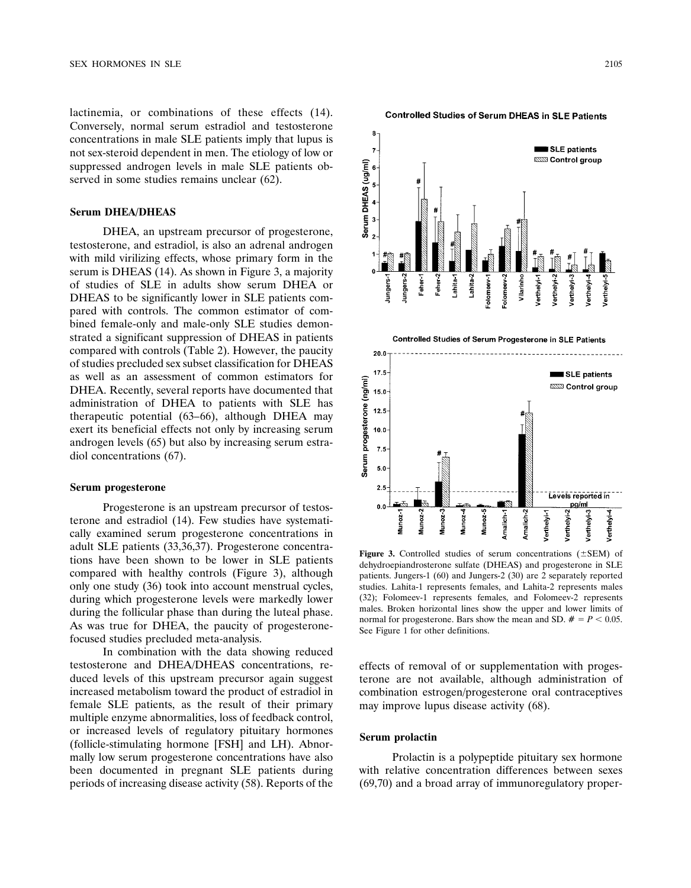lactinemia, or combinations of these effects (14). Conversely, normal serum estradiol and testosterone concentrations in male SLE patients imply that lupus is not sex-steroid dependent in men. The etiology of low or suppressed androgen levels in male SLE patients observed in some studies remains unclear  $(62)$ .

### **Serum DHEA/DHEAS**

DHEA, an upstream precursor of progesterone, testosterone, and estradiol, is also an adrenal androgen with mild virilizing effects, whose primary form in the serum is DHEAS (14). As shown in Figure 3, a majority of studies of SLE in adults show serum DHEA or DHEAS to be significantly lower in SLE patients compared with controls. The common estimator of combined female-only and male-only SLE studies demonstrated a significant suppression of DHEAS in patients compared with controls (Table 2). However, the paucity of studies precluded sex subset classification for DHEAS as well as an assessment of common estimators for DHEA. Recently, several reports have documented that administration of DHEA to patients with SLE has therapeutic potential (63–66), although DHEA may exert its beneficial effects not only by increasing serum androgen levels (65) but also by increasing serum estradiol concentrations (67).

#### **Serum progesterone**

Progesterone is an upstream precursor of testosterone and estradiol (14). Few studies have systematically examined serum progesterone concentrations in adult SLE patients (33,36,37). Progesterone concentrations have been shown to be lower in SLE patients compared with healthy controls (Figure 3), although only one study (36) took into account menstrual cycles, during which progesterone levels were markedly lower during the follicular phase than during the luteal phase. As was true for DHEA, the paucity of progesteronefocused studies precluded meta-analysis.

In combination with the data showing reduced testosterone and DHEA/DHEAS concentrations, reduced levels of this upstream precursor again suggest increased metabolism toward the product of estradiol in female SLE patients, as the result of their primary multiple enzyme abnormalities, loss of feedback control, or increased levels of regulatory pituitary hormones (follicle-stimulating hormone [FSH] and LH). Abnormally low serum progesterone concentrations have also been documented in pregnant SLE patients during periods of increasing disease activity (58). Reports of the

SLE patients **ESSIS Control group** Serum DHEAS (ug/ml) 6 5  $\overline{\mathbf{4}}$ 3  $\overline{2}$ Lahita-2 Vilarinho Jungers-/erthelyi-Jungers-Feher-Lahitaolomeev-Feber. /erthelyi olomeev erthelyi 'erthelyi 'erthelyi Controlled Studies of Serum Progesterone in SLE Patients 20.0  $17.5$ SLE patients Serum progesterone (ng/ml) <sup>ಮಹಾ</sup> Control group 15.0  $12.5$  $10.0$  $7.5$ 5.0  $2.5$ Levels reported in pg/ml  $0.0$ Verthelyi-3 Verthelyi-1 Verthelyi-2 verthelyi-4 Viunoz-Amalich-1 Amalich-2 Aunoz-

**Controlled Studies of Serum DHEAS in SLE Patients** 

**Figure 3.** Controlled studies of serum concentrations  $(\pm$ SEM) of dehydroepiandrosterone sulfate (DHEAS) and progesterone in SLE patients. Jungers-1 (60) and Jungers-2 (30) are 2 separately reported studies. Lahita-1 represents females, and Lahita-2 represents males (32); Folomeev-1 represents females, and Folomeev-2 represents males. Broken horizontal lines show the upper and lower limits of normal for progesterone. Bars show the mean and SD.  $# = P < 0.05$ . See Figure 1 for other definitions.

effects of removal of or supplementation with progesterone are not available, although administration of combination estrogen/progesterone oral contraceptives may improve lupus disease activity (68).

# **Serum prolactin**

Prolactin is a polypeptide pituitary sex hormone with relative concentration differences between sexes (69,70) and a broad array of immunoregulatory proper-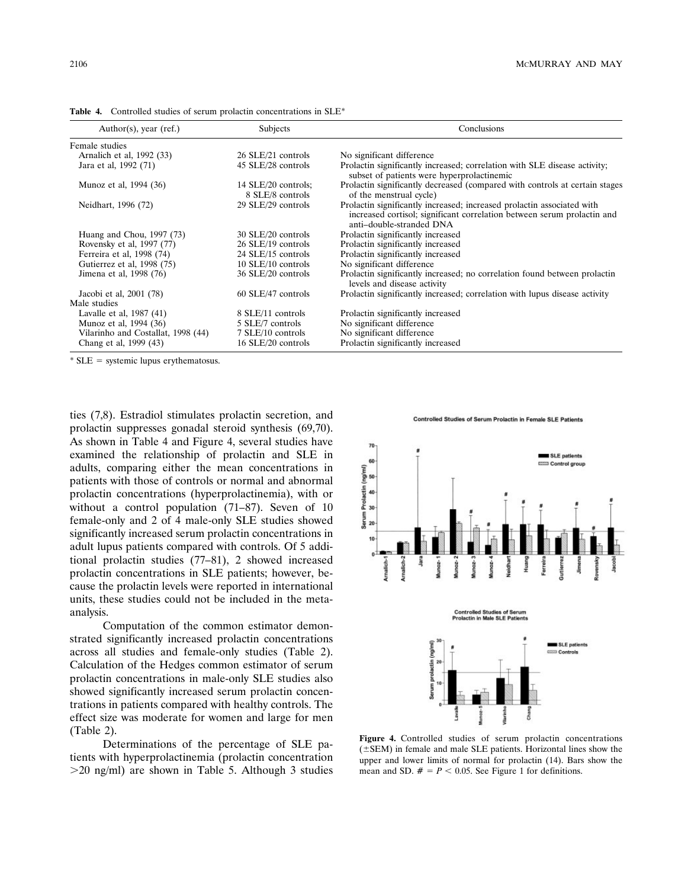| Author(s), year (ref.)             | Subjects                                | Conclusions                                                                                                                                                                   |
|------------------------------------|-----------------------------------------|-------------------------------------------------------------------------------------------------------------------------------------------------------------------------------|
| Female studies                     |                                         |                                                                                                                                                                               |
| Arnalich et al, 1992 (33)          | 26 SLE/21 controls                      | No significant difference                                                                                                                                                     |
| Jara et al, 1992 (71)              | 45 SLE/28 controls                      | Prolactin significantly increased; correlation with SLE disease activity;<br>subset of patients were hyperprolactinemic                                                       |
| Munoz et al, 1994 (36)             | 14 SLE/20 controls;<br>8 SLE/8 controls | Prolactin significantly decreased (compared with controls at certain stages<br>of the menstrual cycle)                                                                        |
| Neidhart, 1996 (72)                | 29 SLE/29 controls                      | Prolactin significantly increased; increased prolactin associated with<br>increased cortisol; significant correlation between serum prolactin and<br>anti-double-stranded DNA |
| Huang and Chou, 1997 (73)          | 30 SLE/20 controls                      | Prolactin significantly increased                                                                                                                                             |
| Rovensky et al, 1997 (77)          | 26 SLE/19 controls                      | Prolactin significantly increased                                                                                                                                             |
| Ferreira et al, 1998 (74)          | 24 SLE/15 controls                      | Prolactin significantly increased                                                                                                                                             |
| Gutierrez et al, 1998 (75)         | 10 SLE/10 controls                      | No significant difference                                                                                                                                                     |
| Jimena et al, 1998 (76)            | 36 SLE/20 controls                      | Prolactin significantly increased; no correlation found between prolactin<br>levels and disease activity                                                                      |
| Jacobi et al, 2001 (78)            | 60 SLE/47 controls                      | Prolactin significantly increased; correlation with lupus disease activity                                                                                                    |
| Male studies                       |                                         |                                                                                                                                                                               |
| Lavalle et al, 1987 (41)           | 8 SLE/11 controls                       | Prolactin significantly increased                                                                                                                                             |
| Munoz et al, 1994 (36)             | 5 SLE/7 controls                        | No significant difference                                                                                                                                                     |
| Vilarinho and Costallat, 1998 (44) | 7 SLE/10 controls                       | No significant difference                                                                                                                                                     |
| Chang et al, 1999 (43)             | 16 SLE/20 controls                      | Prolactin significantly increased                                                                                                                                             |

**Table 4.** Controlled studies of serum prolactin concentrations in SLE\*

 $*$  SLE = systemic lupus erythematosus.

ties (7,8). Estradiol stimulates prolactin secretion, and prolactin suppresses gonadal steroid synthesis (69,70). As shown in Table 4 and Figure 4, several studies have examined the relationship of prolactin and SLE in adults, comparing either the mean concentrations in patients with those of controls or normal and abnormal prolactin concentrations (hyperprolactinemia), with or without a control population (71–87). Seven of 10 female-only and 2 of 4 male-only SLE studies showed significantly increased serum prolactin concentrations in adult lupus patients compared with controls. Of 5 additional prolactin studies (77–81), 2 showed increased prolactin concentrations in SLE patients; however, because the prolactin levels were reported in international units, these studies could not be included in the metaanalysis.

Computation of the common estimator demonstrated significantly increased prolactin concentrations across all studies and female-only studies (Table 2). Calculation of the Hedges common estimator of serum prolactin concentrations in male-only SLE studies also showed significantly increased serum prolactin concentrations in patients compared with healthy controls. The effect size was moderate for women and large for men (Table 2).

Determinations of the percentage of SLE patients with hyperprolactinemia (prolactin concentration  $>$ 20 ng/ml) are shown in Table 5. Although 3 studies





**Figure 4.** Controlled studies of serum prolactin concentrations  $(\pm$ SEM) in female and male SLE patients. Horizontal lines show the upper and lower limits of normal for prolactin (14). Bars show the mean and SD.  $# = P < 0.05$ . See Figure 1 for definitions.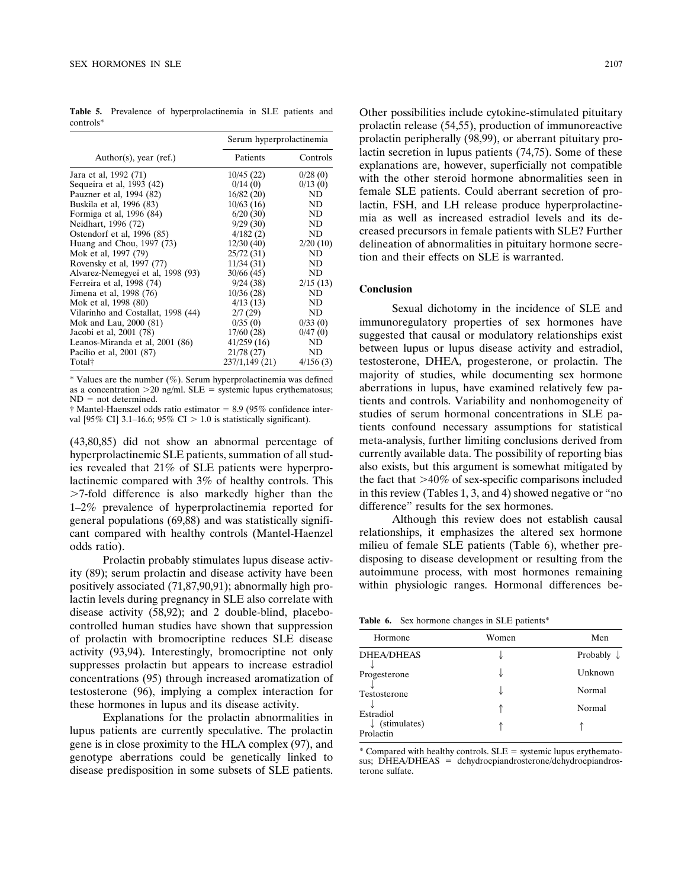**Table 5.** Prevalence of hyperprolactinemia in SLE patients and controls\*

|                                    | Serum hyperprolactinemia |          |
|------------------------------------|--------------------------|----------|
| Author(s), year (ref.)             | Patients                 | Controls |
| Jara et al, 1992 (71)              | 10/45(22)                | 0/28(0)  |
| Sequeira et al, 1993 (42)          | 0/14(0)                  | 0/13(0)  |
| Pauzner et al, 1994 (82)           | 16/82(20)                | ND.      |
| Buskila et al, 1996 (83)           | 10/63(16)                | ND       |
| Formiga et al, 1996 (84)           | 6/20(30)                 | ND       |
| Neidhart, 1996 (72)                | 9/29(30)                 | ND       |
| Ostendorf et al, 1996 (85)         | 4/182(2)                 | ND       |
| Huang and Chou, 1997 (73)          | 12/30(40)                | 2/20(10) |
| Mok et al, 1997 (79)               | 25/72(31)                | ND       |
| Rovensky et al, 1997 (77)          | 11/34(31)                | ND       |
| Alvarez-Nemegyei et al, 1998 (93)  | 30/66(45)                | ND       |
| Ferreira et al, 1998 (74)          | 9/24(38)                 | 2/15(13) |
| Jimena et al, 1998 (76)            | 10/36(28)                | ND       |
| Mok et al, 1998 (80)               | 4/13(13)                 | ND       |
| Vilarinho and Costallat, 1998 (44) | 2/7(29)                  | ND       |
| Mok and Lau, 2000 (81)             | 0/35(0)                  | 0/33(0)  |
| Jacobi et al, 2001 (78)            | 17/60(28)                | 0/47(0)  |
| Leanos-Miranda et al, 2001 (86)    | 41/259(16)               | ND       |
| Pacilio et al, 2001 (87)           | 21/78 (27)               | ND       |
| Total†                             | 237/1,149 (21)           | 4/156(3) |

 $*$  Values are the number (%). Serum hyperprolactinemia was defined as a concentration  $>20$  ng/ml. SLE = systemic lupus erythematosus;  $ND = not determined$ .

 $\dagger$  Mantel-Haenszel odds ratio estimator = 8.9 (95% confidence interval [95% CI] 3.1–16.6; 95% CI > 1.0 is statistically significant).

(43,80,85) did not show an abnormal percentage of hyperprolactinemic SLE patients, summation of all studies revealed that 21% of SLE patients were hyperprolactinemic compared with 3% of healthy controls. This 7-fold difference is also markedly higher than the 1–2% prevalence of hyperprolactinemia reported for general populations (69,88) and was statistically significant compared with healthy controls (Mantel-Haenzel odds ratio).

Prolactin probably stimulates lupus disease activity (89); serum prolactin and disease activity have been positively associated (71,87,90,91); abnormally high prolactin levels during pregnancy in SLE also correlate with disease activity (58,92); and 2 double-blind, placebocontrolled human studies have shown that suppression of prolactin with bromocriptine reduces SLE disease activity (93,94). Interestingly, bromocriptine not only suppresses prolactin but appears to increase estradiol concentrations (95) through increased aromatization of testosterone (96), implying a complex interaction for these hormones in lupus and its disease activity.

Explanations for the prolactin abnormalities in lupus patients are currently speculative. The prolactin gene is in close proximity to the HLA complex (97), and genotype aberrations could be genetically linked to disease predisposition in some subsets of SLE patients. Other possibilities include cytokine-stimulated pituitary prolactin release (54,55), production of immunoreactive prolactin peripherally (98,99), or aberrant pituitary prolactin secretion in lupus patients (74,75). Some of these explanations are, however, superficially not compatible with the other steroid hormone abnormalities seen in female SLE patients. Could aberrant secretion of prolactin, FSH, and LH release produce hyperprolactinemia as well as increased estradiol levels and its decreased precursors in female patients with SLE? Further delineation of abnormalities in pituitary hormone secretion and their effects on SLE is warranted.

#### **Conclusion**

Sexual dichotomy in the incidence of SLE and immunoregulatory properties of sex hormones have suggested that causal or modulatory relationships exist between lupus or lupus disease activity and estradiol, testosterone, DHEA, progesterone, or prolactin. The majority of studies, while documenting sex hormone aberrations in lupus, have examined relatively few patients and controls. Variability and nonhomogeneity of studies of serum hormonal concentrations in SLE patients confound necessary assumptions for statistical meta-analysis, further limiting conclusions derived from currently available data. The possibility of reporting bias also exists, but this argument is somewhat mitigated by the fact that  $>40\%$  of sex-specific comparisons included in this review (Tables 1, 3, and 4) showed negative or "no difference" results for the sex hormones.

Although this review does not establish causal relationships, it emphasizes the altered sex hormone milieu of female SLE patients (Table 6), whether predisposing to disease development or resulting from the autoimmune process, with most hormones remaining within physiologic ranges. Hormonal differences be-

**Table 6.** Sex hormone changes in SLE patients\*

| Hormone                   | Women | Men                   |
|---------------------------|-------|-----------------------|
| <b>DHEA/DHEAS</b>         |       | Probably $\downarrow$ |
| Progesterone              |       | Unknown               |
| Testosterone              |       | Normal                |
| Estradiol                 |       | Normal                |
| (stimulates)<br>Prolactin |       |                       |
|                           |       |                       |

 $*$  Compared with healthy controls.  $SLE =$  systemic lupus erythematosus;  $DHEA/DHEAS = dehydroepi androsterone/dehydroepi andros$ terone sulfate.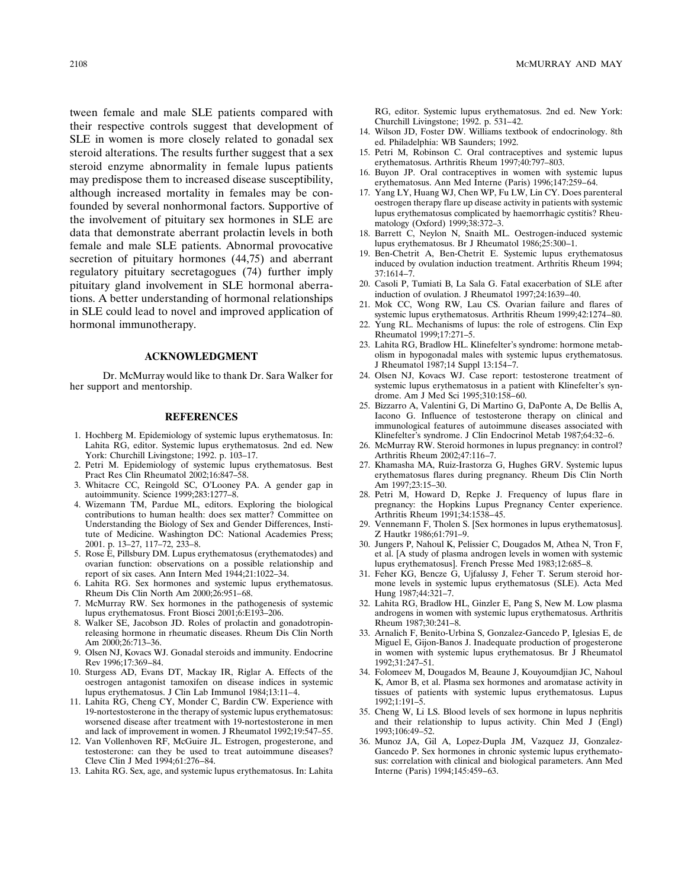tween female and male SLE patients compared with their respective controls suggest that development of SLE in women is more closely related to gonadal sex steroid alterations. The results further suggest that a sex steroid enzyme abnormality in female lupus patients may predispose them to increased disease susceptibility, although increased mortality in females may be confounded by several nonhormonal factors. Supportive of the involvement of pituitary sex hormones in SLE are data that demonstrate aberrant prolactin levels in both female and male SLE patients. Abnormal provocative secretion of pituitary hormones (44,75) and aberrant regulatory pituitary secretagogues (74) further imply pituitary gland involvement in SLE hormonal aberrations. A better understanding of hormonal relationships in SLE could lead to novel and improved application of hormonal immunotherapy.

#### **ACKNOWLEDGMENT**

Dr. McMurray would like to thank Dr. Sara Walker for her support and mentorship.

#### **REFERENCES**

- 1. Hochberg M. Epidemiology of systemic lupus erythematosus. In: Lahita RG, editor. Systemic lupus erythematosus. 2nd ed. New York: Churchill Livingstone; 1992. p. 103–17.
- 2. Petri M. Epidemiology of systemic lupus erythematosus. Best Pract Res Clin Rheumatol 2002;16:847–58.
- 3. Whitacre CC, Reingold SC, O'Looney PA. A gender gap in autoimmunity. Science 1999;283:1277–8.
- 4. Wizemann TM, Pardue ML, editors. Exploring the biological contributions to human health: does sex matter? Committee on Understanding the Biology of Sex and Gender Differences, Institute of Medicine. Washington DC: National Academies Press; 2001. p. 13–27, 117–72, 233–8.
- 5. Rose E, Pillsbury DM. Lupus erythematosus (erythematodes) and ovarian function: observations on a possible relationship and report of six cases. Ann Intern Med 1944;21:1022–34.
- 6. Lahita RG. Sex hormones and systemic lupus erythematosus. Rheum Dis Clin North Am 2000;26:951–68.
- 7. McMurray RW. Sex hormones in the pathogenesis of systemic lupus erythematosus. Front Biosci 2001;6:E193–206.
- 8. Walker SE, Jacobson JD. Roles of prolactin and gonadotropinreleasing hormone in rheumatic diseases. Rheum Dis Clin North Am 2000;26:713-36.
- 9. Olsen NJ, Kovacs WJ. Gonadal steroids and immunity. Endocrine Rev 1996;17:369–84.
- 10. Sturgess AD, Evans DT, Mackay IR, Riglar A. Effects of the oestrogen antagonist tamoxifen on disease indices in systemic lupus erythematosus. J Clin Lab Immunol 1984;13:11–4.
- 11. Lahita RG, Cheng CY, Monder C, Bardin CW. Experience with 19-nortestosterone in the therapy of systemic lupus erythematosus: worsened disease after treatment with 19-nortestosterone in men and lack of improvement in women. J Rheumatol 1992;19:547–55.
- 12. Van Vollenhoven RF, McGuire JL. Estrogen, progesterone, and testosterone: can they be used to treat autoimmune diseases? Cleve Clin J Med 1994;61:276–84.
- 13. Lahita RG. Sex, age, and systemic lupus erythematosus. In: Lahita

RG, editor. Systemic lupus erythematosus. 2nd ed. New York: Churchill Livingstone; 1992. p. 531–42.

- 14. Wilson JD, Foster DW. Williams textbook of endocrinology. 8th ed. Philadelphia: WB Saunders; 1992.
- 15. Petri M, Robinson C. Oral contraceptives and systemic lupus erythematosus. Arthritis Rheum 1997;40:797-803.
- 16. Buyon JP. Oral contraceptives in women with systemic lupus erythematosus. Ann Med Interne (Paris) 1996;147:259–64.
- 17. Yang LY, Huang WJ, Chen WP, Fu LW, Lin CY. Does parenteral oestrogen therapy flare up disease activity in patients with systemic lupus erythematosus complicated by haemorrhagic cystitis? Rheumatology (Oxford) 1999;38:372–3.
- 18. Barrett C, Neylon N, Snaith ML. Oestrogen-induced systemic lupus erythematosus. Br J Rheumatol 1986;25:300–1.
- 19. Ben-Chetrit A, Ben-Chetrit E. Systemic lupus erythematosus induced by ovulation induction treatment. Arthritis Rheum 1994; 37:1614–7.
- 20. Casoli P, Tumiati B, La Sala G. Fatal exacerbation of SLE after induction of ovulation. J Rheumatol 1997;24:1639–40.
- 21. Mok CC, Wong RW, Lau CS. Ovarian failure and flares of systemic lupus erythematosus. Arthritis Rheum 1999;42:1274–80.
- 22. Yung RL. Mechanisms of lupus: the role of estrogens. Clin Exp Rheumatol 1999;17:271–5.
- 23. Lahita RG, Bradlow HL. Klinefelter's syndrome: hormone metabolism in hypogonadal males with systemic lupus erythematosus. J Rheumatol 1987;14 Suppl 13:154–7.
- 24. Olsen NJ, Kovacs WJ. Case report: testosterone treatment of systemic lupus erythematosus in a patient with Klinefelter's syndrome. Am J Med Sci 1995;310:158–60.
- 25. Bizzarro A, Valentini G, Di Martino G, DaPonte A, De Bellis A, Iacono G. Influence of testosterone therapy on clinical and immunological features of autoimmune diseases associated with Klinefelter's syndrome. J Clin Endocrinol Metab 1987;64:32–6.
- 26. McMurray RW. Steroid hormones in lupus pregnancy: in control? Arthritis Rheum 2002;47:116–7.
- 27. Khamasha MA, Ruiz-Irastorza G, Hughes GRV. Systemic lupus erythematosus flares during pregnancy. Rheum Dis Clin North Am 1997;23:15–30.
- 28. Petri M, Howard D, Repke J. Frequency of lupus flare in pregnancy: the Hopkins Lupus Pregnancy Center experience. Arthritis Rheum 1991;34:1538–45.
- 29. Vennemann F, Tholen S. [Sex hormones in lupus erythematosus]. Z Hautkr 1986;61:791–9.
- 30. Jungers P, Nahoul K, Pelissier C, Dougados M, Athea N, Tron F, et al. [A study of plasma androgen levels in women with systemic lupus erythematosus]. French Presse Med 1983;12:685–8.
- 31. Feher KG, Bencze G, Ujfalussy J, Feher T. Serum steroid hormone levels in systemic lupus erythematosus (SLE). Acta Med Hung 1987;44:321–7.
- 32. Lahita RG, Bradlow HL, Ginzler E, Pang S, New M. Low plasma androgens in women with systemic lupus erythematosus. Arthritis Rheum 1987;30:241–8.
- 33. Arnalich F, Benito-Urbina S, Gonzalez-Gancedo P, Iglesias E, de Miguel E, Gijon-Banos J. Inadequate production of progesterone in women with systemic lupus erythematosus. Br J Rheumatol 1992;31:247–51.
- 34. Folomeev M, Dougados M, Beaune J, Kouyoumdjian JC, Nahoul K, Amor B, et al. Plasma sex hormones and aromatase activity in tissues of patients with systemic lupus erythematosus. Lupus 1992;1:191–5.
- 35. Cheng W, Li LS. Blood levels of sex hormone in lupus nephritis and their relationship to lupus activity. Chin Med J (Engl) 1993;106:49–52.
- 36. Munoz JA, Gil A, Lopez-Dupla JM, Vazquez JJ, Gonzalez-Gancedo P. Sex hormones in chronic systemic lupus erythematosus: correlation with clinical and biological parameters. Ann Med Interne (Paris) 1994;145:459–63.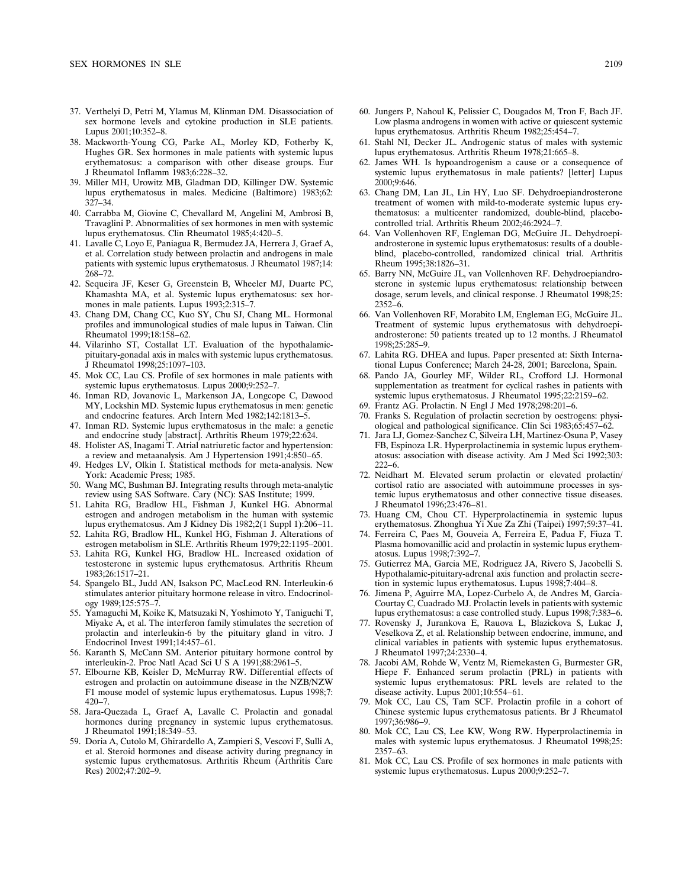- 37. Verthelyi D, Petri M, Ylamus M, Klinman DM. Disassociation of sex hormone levels and cytokine production in SLE patients. Lupus 2001;10:352–8.
- 38. Mackworth-Young CG, Parke AL, Morley KD, Fotherby K, Hughes GR. Sex hormones in male patients with systemic lupus erythematosus: a comparison with other disease groups. Eur J Rheumatol Inflamm 1983;6:228–32.
- 39. Miller MH, Urowitz MB, Gladman DD, Killinger DW. Systemic lupus erythematosus in males. Medicine (Baltimore) 1983;62: 327–34.
- 40. Carrabba M, Giovine C, Chevallard M, Angelini M, Ambrosi B, Travaglini P. Abnormalities of sex hormones in men with systemic lupus erythematosus. Clin Rheumatol 1985;4:420–5.
- 41. Lavalle C, Loyo E, Paniagua R, Bermudez JA, Herrera J, Graef A, et al. Correlation study between prolactin and androgens in male patients with systemic lupus erythematosus. J Rheumatol 1987;14: 268–72.
- 42. Sequeira JF, Keser G, Greenstein B, Wheeler MJ, Duarte PC, Khamashta MA, et al. Systemic lupus erythematosus: sex hormones in male patients. Lupus 1993;2:315–7.
- 43. Chang DM, Chang CC, Kuo SY, Chu SJ, Chang ML. Hormonal profiles and immunological studies of male lupus in Taiwan. Clin Rheumatol 1999;18:158–62.
- 44. Vilarinho ST, Costallat LT. Evaluation of the hypothalamicpituitary-gonadal axis in males with systemic lupus erythematosus. J Rheumatol 1998;25:1097–103.
- 45. Mok CC, Lau CS. Profile of sex hormones in male patients with systemic lupus erythematosus. Lupus 2000;9:252–7.
- 46. Inman RD, Jovanovic L, Markenson JA, Longcope C, Dawood MY, Lockshin MD. Systemic lupus erythematosus in men: genetic and endocrine features. Arch Intern Med 1982;142:1813–5.
- 47. Inman RD. Systemic lupus erythematosus in the male: a genetic and endocrine study [abstract]. Arthritis Rheum 1979;22:624.
- 48. Holister AS, Inagami T. Atrial natriuretic factor and hypertension: a review and metaanalysis. Am J Hypertension 1991;4:850–65.
- 49. Hedges LV, Olkin I. Statistical methods for meta-analysis. New York: Academic Press; 1985.
- 50. Wang MC, Bushman BJ. Integrating results through meta-analytic review using SAS Software. Cary (NC): SAS Institute; 1999.
- 51. Lahita RG, Bradlow HL, Fishman J, Kunkel HG. Abnormal estrogen and androgen metabolism in the human with systemic lupus erythematosus. Am J Kidney Dis 1982;2(1 Suppl 1):206–11.
- 52. Lahita RG, Bradlow HL, Kunkel HG, Fishman J. Alterations of estrogen metabolism in SLE. Arthritis Rheum 1979;22:1195–2001.
- 53. Lahita RG, Kunkel HG, Bradlow HL. Increased oxidation of testosterone in systemic lupus erythematosus. Arthritis Rheum 1983;26:1517–21.
- 54. Spangelo BL, Judd AN, Isakson PC, MacLeod RN. Interleukin-6 stimulates anterior pituitary hormone release in vitro. Endocrinology 1989;125:575–7.
- 55. Yamaguchi M, Koike K, Matsuzaki N, Yoshimoto Y, Taniguchi T, Miyake A, et al. The interferon family stimulates the secretion of prolactin and interleukin-6 by the pituitary gland in vitro. J Endocrinol Invest 1991;14:457–61.
- 56. Karanth S, McCann SM. Anterior pituitary hormone control by interleukin-2. Proc Natl Acad Sci U S A 1991;88:2961-5.
- 57. Elbourne KB, Keisler D, McMurray RW. Differential effects of estrogen and prolactin on autoimmune disease in the NZB/NZW F1 mouse model of systemic lupus erythematosus. Lupus 1998;7: 420–7.
- 58. Jara-Quezada L, Graef A, Lavalle C. Prolactin and gonadal hormones during pregnancy in systemic lupus erythematosus. J Rheumatol 1991;18:349–53.
- 59. Doria A, Cutolo M, Ghirardello A, Zampieri S, Vescovi F, Sulli A, et al. Steroid hormones and disease activity during pregnancy in systemic lupus erythematosus. Arthritis Rheum (Arthritis Care Res) 2002;47:202–9.
- 60. Jungers P, Nahoul K, Pelissier C, Dougados M, Tron F, Bach JF. Low plasma androgens in women with active or quiescent systemic lupus erythematosus. Arthritis Rheum 1982;25:454–7.
- 61. Stahl NI, Decker JL. Androgenic status of males with systemic lupus erythematosus. Arthritis Rheum 1978;21:665–8.
- 62. James WH. Is hypoandrogenism a cause or a consequence of systemic lupus erythematosus in male patients? [letter] Lupus 2000;9:646.
- 63. Chang DM, Lan JL, Lin HY, Luo SF. Dehydroepiandrosterone treatment of women with mild-to-moderate systemic lupus erythematosus: a multicenter randomized, double-blind, placebocontrolled trial. Arthritis Rheum 2002;46:2924–7.
- 64. Van Vollenhoven RF, Engleman DG, McGuire JL. Dehydroepiandrosterone in systemic lupus erythematosus: results of a doubleblind, placebo-controlled, randomized clinical trial. Arthritis Rheum 1995;38:1826–31.
- 65. Barry NN, McGuire JL, van Vollenhoven RF. Dehydroepiandrosterone in systemic lupus erythematosus: relationship between dosage, serum levels, and clinical response. J Rheumatol 1998;25: 2352–6.
- 66. Van Vollenhoven RF, Morabito LM, Engleman EG, McGuire JL. Treatment of systemic lupus erythematosus with dehydroepiandrosterone: 50 patients treated up to 12 months. J Rheumatol 1998;25:285–9.
- 67. Lahita RG. DHEA and lupus. Paper presented at: Sixth International Lupus Conference; March 24-28, 2001; Barcelona, Spain.
- 68. Pando JA, Gourley MF, Wilder RL, Crofford LJ. Hormonal supplementation as treatment for cyclical rashes in patients with systemic lupus erythematosus. J Rheumatol 1995;22:2159–62.
- 69. Frantz AG. Prolactin. N Engl J Med 1978;298:201–6.
- 70. Franks S. Regulation of prolactin secretion by oestrogens: physiological and pathological significance. Clin Sci 1983;65:457–62.
- 71. Jara LJ, Gomez-Sanchez C, Silveira LH, Martinez-Osuna P, Vasey FB, Espinoza LR. Hyperprolactinemia in systemic lupus erythematosus: association with disease activity. Am J Med Sci 1992;303: 222–6.
- 72. Neidhart M. Elevated serum prolactin or elevated prolactin/ cortisol ratio are associated with autoimmune processes in systemic lupus erythematosus and other connective tissue diseases. J Rheumatol 1996;23:476–81.
- 73. Huang CM, Chou CT. Hyperprolactinemia in systemic lupus erythematosus. Zhonghua Yi Xue Za Zhi (Taipei) 1997;59:37–41.
- 74. Ferreira C, Paes M, Gouveia A, Ferreira E, Padua F, Fiuza T. Plasma homovanillic acid and prolactin in systemic lupus erythematosus. Lupus 1998;7:392–7.
- 75. Gutierrez MA, Garcia ME, Rodriguez JA, Rivero S, Jacobelli S. Hypothalamic-pituitary-adrenal axis function and prolactin secretion in systemic lupus erythematosus. Lupus 1998;7:404–8.
- 76. Jimena P, Aguirre MA, Lopez-Curbelo A, de Andres M, Garcia-Courtay C, Cuadrado MJ. Prolactin levels in patients with systemic lupus erythematosus: a case controlled study. Lupus 1998;7:383–6.
- 77. Rovensky J, Jurankova E, Rauova L, Blazickova S, Lukac J, Veselkova Z, et al. Relationship between endocrine, immune, and clinical variables in patients with systemic lupus erythematosus. J Rheumatol 1997;24:2330–4.
- 78. Jacobi AM, Rohde W, Ventz M, Riemekasten G, Burmester GR, Hiepe F. Enhanced serum prolactin (PRL) in patients with systemic lupus erythematosus: PRL levels are related to the disease activity. Lupus 2001;10:554–61.
- 79. Mok CC, Lau CS, Tam SCF. Prolactin profile in a cohort of Chinese systemic lupus erythematosus patients. Br J Rheumatol 1997;36:986–9.
- 80. Mok CC, Lau CS, Lee KW, Wong RW. Hyperprolactinemia in males with systemic lupus erythematosus. J Rheumatol 1998;25: 2357–63.
- 81. Mok CC, Lau CS. Profile of sex hormones in male patients with systemic lupus erythematosus. Lupus 2000;9:252–7.